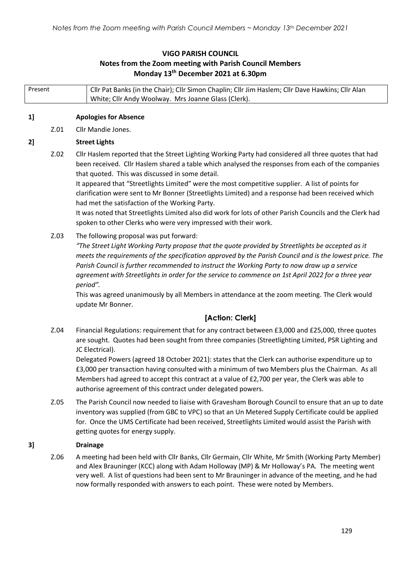# **VIGO PARISH COUNCIL Notes from the Zoom meeting with Parish Council Members Monday 13th December 2021 at 6.30pm**

| Present |      | Cllr Pat Banks (in the Chair); Cllr Simon Chaplin; Cllr Jim Haslem; Cllr Dave Hawkins; Cllr Alan<br>White; Cllr Andy Woolway. Mrs Joanne Glass (Clerk).                                                                                                                                                                                                                                                                                                                                                                                                                                                                                                                                                 |  |  |  |  |
|---------|------|---------------------------------------------------------------------------------------------------------------------------------------------------------------------------------------------------------------------------------------------------------------------------------------------------------------------------------------------------------------------------------------------------------------------------------------------------------------------------------------------------------------------------------------------------------------------------------------------------------------------------------------------------------------------------------------------------------|--|--|--|--|
| 1]      |      | <b>Apologies for Absence</b>                                                                                                                                                                                                                                                                                                                                                                                                                                                                                                                                                                                                                                                                            |  |  |  |  |
|         | Z.01 | Cllr Mandie Jones.                                                                                                                                                                                                                                                                                                                                                                                                                                                                                                                                                                                                                                                                                      |  |  |  |  |
| 2]      |      | <b>Street Lights</b>                                                                                                                                                                                                                                                                                                                                                                                                                                                                                                                                                                                                                                                                                    |  |  |  |  |
|         | Z.02 | Cllr Haslem reported that the Street Lighting Working Party had considered all three quotes that had<br>been received. Cllr Haslem shared a table which analysed the responses from each of the companies<br>that quoted. This was discussed in some detail.<br>It appeared that "Streetlights Limited" were the most competitive supplier. A list of points for<br>clarification were sent to Mr Bonner (Streetlights Limited) and a response had been received which<br>had met the satisfaction of the Working Party.<br>It was noted that Streetlights Limited also did work for lots of other Parish Councils and the Clerk had<br>spoken to other Clerks who were very impressed with their work. |  |  |  |  |
|         | Z.03 | The following proposal was put forward:<br>"The Street Light Working Party propose that the quote provided by Streetlights be accepted as it<br>meets the requirements of the specification approved by the Parish Council and is the lowest price. The<br>Parish Council is further recommended to instruct the Working Party to now draw up a service<br>agreement with Streetlights in order for the service to commence on 1st April 2022 for a three year<br>period".<br>This was agreed unanimously by all Members in attendance at the zoom meeting. The Clerk would<br>update Mr Bonner.                                                                                                        |  |  |  |  |
|         |      | [Action: Clerk]                                                                                                                                                                                                                                                                                                                                                                                                                                                                                                                                                                                                                                                                                         |  |  |  |  |
|         | Z.04 | Financial Regulations: requirement that for any contract between £3,000 and £25,000, three quotes<br>are sought. Quotes had been sought from three companies (Streetlighting Limited, PSR Lighting and<br>JC Electrical).<br>Delegated Powers (agreed 18 October 2021): states that the Clerk can authorise expenditure up to<br>£3,000 per transaction having consulted with a minimum of two Members plus the Chairman. As all<br>Members had agreed to accept this contract at a value of £2,700 per year, the Clerk was able to<br>authorise agreement of this contract under delegated powers.                                                                                                     |  |  |  |  |
|         | Z.05 | The Parish Council now needed to liaise with Gravesham Borough Council to ensure that an up to date<br>inventory was supplied (from GBC to VPC) so that an Un Metered Supply Certificate could be applied<br>for. Once the UMS Certificate had been received, Streetlights Limited would assist the Parish with<br>getting quotes for energy supply.                                                                                                                                                                                                                                                                                                                                                    |  |  |  |  |
| 3]      |      | <b>Drainage</b>                                                                                                                                                                                                                                                                                                                                                                                                                                                                                                                                                                                                                                                                                         |  |  |  |  |
|         | Z.06 | A meeting had been held with Cllr Banks, Cllr Germain, Cllr White, Mr Smith (Working Party Member)<br>and Alex Brauninger (KCC) along with Adam Holloway (MP) & Mr Holloway's PA. The meeting went<br>very well. A list of questions had been sent to Mr Brauninger in advance of the meeting, and he had<br>now formally responded with answers to each point. These were noted by Members.                                                                                                                                                                                                                                                                                                            |  |  |  |  |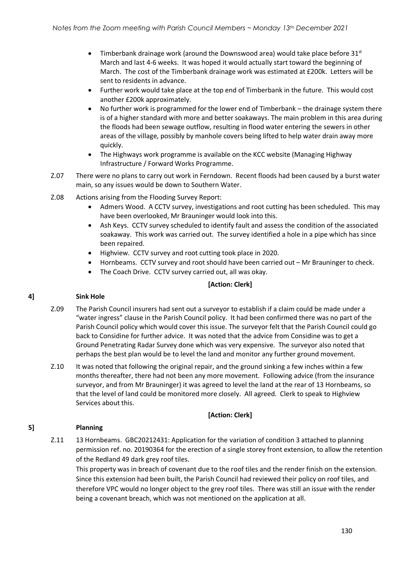- Timberbank drainage work (around the Downswood area) would take place before  $31<sup>st</sup>$ March and last 4-6 weeks. It was hoped it would actually start toward the beginning of March. The cost of the Timberbank drainage work was estimated at £200k. Letters will be sent to residents in advance.
- Further work would take place at the top end of Timberbank in the future. This would cost another £200k approximately.
- No further work is programmed for the lower end of Timberbank the drainage system there is of a higher standard with more and better soakaways. The main problem in this area during the floods had been sewage outflow, resulting in flood water entering the sewers in other areas of the village, possibly by manhole covers being lifted to help water drain away more quickly.
- The Highways work programme is available on the KCC website (Managing Highway Infrastructure / Forward Works Programme.
- Z.07 There were no plans to carry out work in Ferndown. Recent floods had been caused by a burst water main, so any issues would be down to Southern Water.
- Z.08 Actions arising from the Flooding Survey Report:
	- Admers Wood. A CCTV survey, investigations and root cutting has been scheduled. This may have been overlooked, Mr Brauninger would look into this.
	- Ash Keys. CCTV survey scheduled to identify fault and assess the condition of the associated soakaway. This work was carried out. The survey identified a hole in a pipe which has since been repaired.
	- Highview. CCTV survey and root cutting took place in 2020.
	- Hornbeams. CCTV survey and root should have been carried out Mr Brauninger to check.
	- The Coach Drive. CCTV survey carried out, all was okay.

# **[Action: Clerk]**

#### **4] Sink Hole**

- Z.09 The Parish Council insurers had sent out a surveyor to establish if a claim could be made under a "water ingress" clause in the Parish Council policy. It had been confirmed there was no part of the Parish Council policy which would cover this issue. The surveyor felt that the Parish Council could go back to Considine for further advice. It was noted that the advice from Considine was to get a Ground Penetrating Radar Survey done which was very expensive. The surveyor also noted that perhaps the best plan would be to level the land and monitor any further ground movement.
- Z.10 It was noted that following the original repair, and the ground sinking a few inches within a few months thereafter, there had not been any more movement. Following advice (from the insurance surveyor, and from Mr Brauninger) it was agreed to level the land at the rear of 13 Hornbeams, so that the level of land could be monitored more closely. All agreed. Clerk to speak to Highview Services about this.

# **[Action: Clerk]**

# **5] Planning**

Z.11 13 Hornbeams. GBC20212431: Application for the variation of condition 3 attached to planning permission ref. no. 20190364 for the erection of a single storey front extension, to allow the retention of the Redland 49 dark grey roof tiles.

This property was in breach of covenant due to the roof tiles and the render finish on the extension. Since this extension had been built, the Parish Council had reviewed their policy on roof tiles, and therefore VPC would no longer object to the grey roof tiles. There was still an issue with the render being a covenant breach, which was not mentioned on the application at all.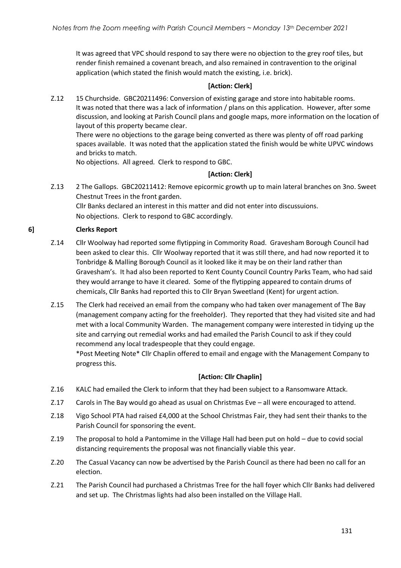It was agreed that VPC should respond to say there were no objection to the grey roof tiles, but render finish remained a covenant breach, and also remained in contravention to the original application (which stated the finish would match the existing, i.e. brick).

# **[Action: Clerk]**

Z.12 15 Churchside. GBC20211496: Conversion of existing garage and store into habitable rooms. It was noted that there was a lack of information / plans on this application. However, after some discussion, and looking at Parish Council plans and google maps, more information on the location of layout of this property became clear.

There were no objections to the garage being converted as there was plenty of off road parking spaces available. It was noted that the application stated the finish would be white UPVC windows and bricks to match.

No objections. All agreed. Clerk to respond to GBC.

#### **[Action: Clerk]**

Z.13 2 The Gallops. GBC20211412: Remove epicormic growth up to main lateral branches on 3no. Sweet Chestnut Trees in the front garden. Cllr Banks declared an interest in this matter and did not enter into discussuions.

No objections. Clerk to respond to GBC accordingly.

#### **6] Clerks Report**

- Z.14 Cllr Woolway had reported some flytipping in Commority Road. Gravesham Borough Council had been asked to clear this. Cllr Woolway reported that it was still there, and had now reported it to Tonbridge & Malling Borough Council as it looked like it may be on their land rather than Gravesham's. It had also been reported to Kent County Council Country Parks Team, who had said they would arrange to have it cleared. Some of the flytipping appeared to contain drums of chemicals, Cllr Banks had reported this to Cllr Bryan Sweetland (Kent) for urgent action.
- Z.15 The Clerk had received an email from the company who had taken over management of The Bay (management company acting for the freeholder). They reported that they had visited site and had met with a local Community Warden. The management company were interested in tidying up the site and carrying out remedial works and had emailed the Parish Council to ask if they could recommend any local tradespeople that they could engage. \*Post Meeting Note\* Cllr Chaplin offered to email and engage with the Management Company to progress this.

# **[Action: Cllr Chaplin]**

- Z.16 KALC had emailed the Clerk to inform that they had been subject to a Ransomware Attack.
- Z.17 Carols in The Bay would go ahead as usual on Christmas Eve all were encouraged to attend.
- Z.18 Vigo School PTA had raised £4,000 at the School Christmas Fair, they had sent their thanks to the Parish Council for sponsoring the event.
- Z.19 The proposal to hold a Pantomime in the Village Hall had been put on hold due to covid social distancing requirements the proposal was not financially viable this year.
- Z.20 The Casual Vacancy can now be advertised by the Parish Council as there had been no call for an election.
- Z.21 The Parish Council had purchased a Christmas Tree for the hall foyer which Cllr Banks had delivered and set up. The Christmas lights had also been installed on the Village Hall.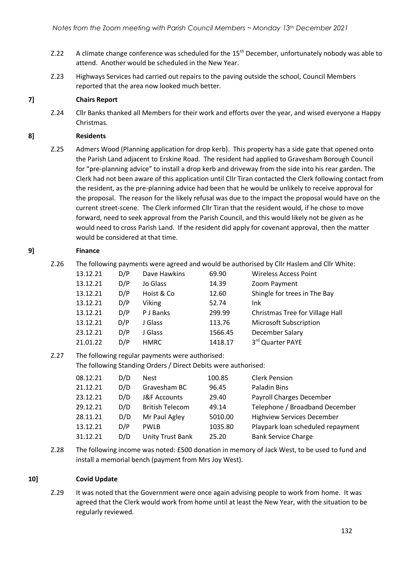- Z.22 A climate change conference was scheduled for the 15<sup>th</sup> December, unfortunately nobody was able to attend. Another would be scheduled in the New Year.
- Z.23 Highways Services had carried out repairs to the paving outside the school, Council Members reported that the area now looked much better.

### **7] Chairs Report**

Z.24 Cllr Banks thanked all Members for their work and efforts over the year, and wised everyone a Happy Christmas.

#### **8] Residents**

Z.25 Admers Wood (Planning application for drop kerb). This property has a side gate that opened onto the Parish Land adjacent to Erskine Road. The resident had applied to Gravesham Borough Council for "pre-planning advice" to install a drop kerb and driveway from the side into his rear garden. The Clerk had not been aware of this application until Cllr Tiran contacted the Clerk following contact from the resident, as the pre-planning advice had been that he would be unlikely to receive approval for the proposal. The reason for the likely refusal was due to the impact the proposal would have on the current street-scene. The Clerk informed Cllr Tiran that the resident would, if he chose to move forward, need to seek approval from the Parish Council, and this would likely not be given as he would need to cross Parish Land. If the resident did apply for covenant approval, then the matter would be considered at that time.

#### **9] Finance**

Z.26 The following payments were agreed and would be authorised by Cllr Haslem and Cllr White:

| 13.12.21 | D/P | Dave Hawkins | 69.90   | <b>Wireless Access Point</b>           |
|----------|-----|--------------|---------|----------------------------------------|
| 13.12.21 | D/P | Jo Glass     | 14.39   | Zoom Payment                           |
| 13.12.21 | D/P | Hoist & Co   | 12.60   | Shingle for trees in The Bay           |
| 13.12.21 | D/P | Viking       | 52.74   | Ink                                    |
| 13.12.21 | D/P | P J Banks    | 299.99  | <b>Christmas Tree for Village Hall</b> |
| 13.12.21 | D/P | J Glass      | 113.76  | <b>Microsoft Subscription</b>          |
| 23.12.21 | D/P | J Glass      | 1566.45 | December Salary                        |
| 21.01.22 | D/P | <b>HMRC</b>  | 1418.17 | 3rd Quarter PAYE                       |

# Z.27 The following regular payments were authorised: The following Standing Orders / Direct Debits were authorised:

| 08.12.21 | D/D | <b>Nest</b>             | 100.85  | <b>Clerk Pension</b>              |
|----------|-----|-------------------------|---------|-----------------------------------|
| 21.12.21 | D/D | Gravesham BC            | 96.45   | Paladin Bins                      |
| 23.12.21 | D/D | <b>J&amp;F Accounts</b> | 29.40   | Payroll Charges December          |
| 29.12.21 | D/D | <b>British Telecom</b>  | 49.14   | Telephone / Broadband December    |
| 28.11.21 | D/D | Mr Paul Agley           | 5010.00 | <b>Highview Services December</b> |
| 13.12.21 | D/P | <b>PWLB</b>             | 1035.80 | Playpark loan scheduled repayment |
| 31.12.21 | D/D | <b>Unity Trust Bank</b> | 25.20   | <b>Bank Service Charge</b>        |

Z.28 The following income was noted: £500 donation in memory of Jack West, to be used to fund and install a memorial bench (payment from Mrs Joy West).

# **10] Covid Update**

Z.29 It was noted that the Government were once again advising people to work from home. It was agreed that the Clerk would work from home until at least the New Year, with the situation to be regularly reviewed.